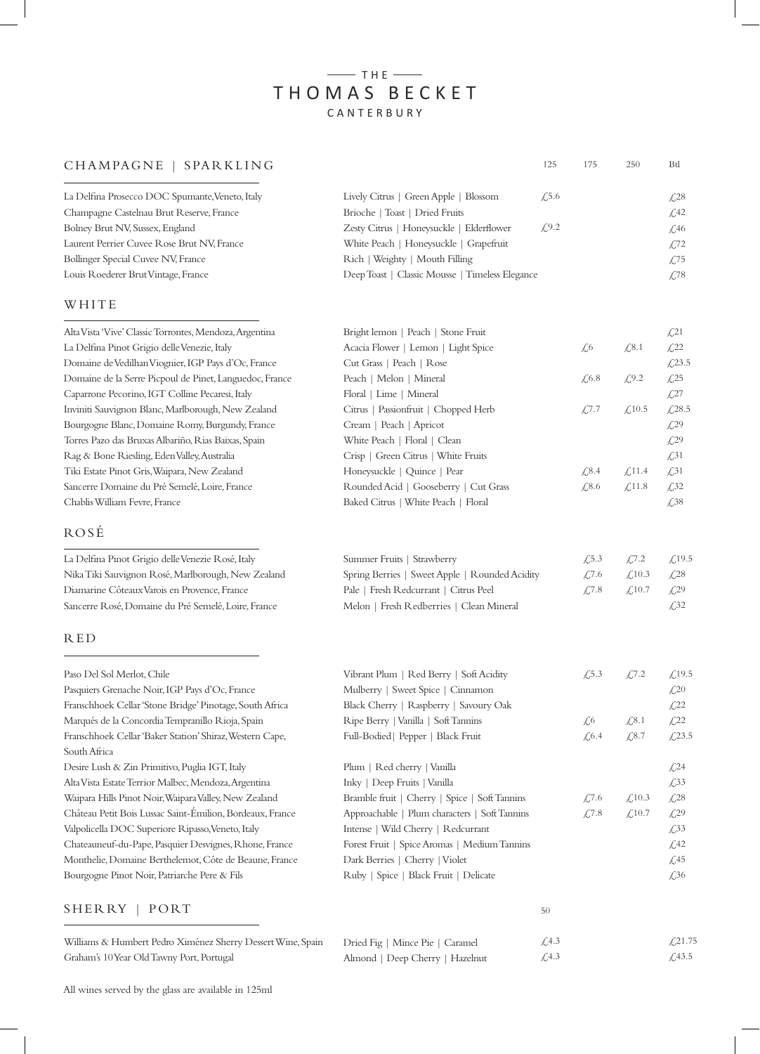# $-$ THE $-$ THOMAS BECKET CANTERBURY

## CHAMPAGNE | SPARKLING 125 175

| La Delfina Prosecco DOC Spumante, Veneto, Italy | Lively Citrus   Green Apple   Blossom<br>$\sqrt{.5.6}$ | $\sqrt{28}$  |
|-------------------------------------------------|--------------------------------------------------------|--------------|
| Champagne Castelnau Brut Reserve, France        | Brioche   Toast   Dried Fruits                         | $\sqrt{42}$  |
| Bolney Brut NV, Sussex, England                 | Zesty Citrus   Honeysuckle   Elderflower<br>£9.2       | $\angle 46$  |
| Laurent Perrier Cuvee Rose Brut NV, France      | White Peach   Honeysuckle   Grapefruit                 | $\sqrt{.72}$ |
| Bollinger Special Cuvee NV, France              | Rich   Weighty   Mouth Filling                         | $\angle 75$  |
| Louis Roederer Brut Vintage, France             | Deep Toast   Classic Mousse   Timeless Elegance        | £78          |
|                                                 |                                                        |              |

Bright lemon | Peach | Stone Fruit Acacia Flower | Lemon | Light Spice

Citrus | Passionfruit | Chopped Herb

Rounded Acid | Gooseberry | Cut Grass Baked Citrus | White Peach | Floral

Spring Berries | Sweet Apple | Rounded Acidity

Cut Grass | Peach | Rose Peach | Melon | Mineral Floral | Lime | Mineral

Cream | Peach | Apricot White Peach | Floral | Clean Crisp | Green Citrus | White Fruits Honeysuckle | Quince | Pear

Summer Fruits | Strawberry

Pale | Fresh Redcurrant | Citrus Peel Melon | Fresh Redberries | Clean Mineral

#### WHITE

Alta Vista 'Vive' Classic Torrontes, Mendoza, Argentina La Delfina Pinot Grigio delle Venezie, Italy Domaine de Vedilhan Viognier, IGP Pays d'Oc, France Domaine de la Serre Picpoul de Pinet, Languedoc, France Caparrone Pecorino, IGT Colline Pecaresi, Italy Inviniti Sauvignon Blanc, Marlborough, New Zealand Bourgogne Blanc, Domaine Romy, Burgundy, France Torres Pazo das Bruxas Albariño, Rias Baixas, Spain Rag & Bone Riesling, Eden Valley, Australia Tiki Estate Pinot Gris, Waipara, New Zealand Sancerre Domaine du Pré Semelé, Loire, France Chablis William Fevre, France

## ROSÉ

La Delfina Pinot Grigio delle Venezie Rosé, Italy Nika Tiki Sauvignon Rosé, Marlborough, New Zealand Diamarine Côteaux Varois en Provence, France Sancerre Rosé, Domaine du Pré Semelé, Loire, France

#### RED

| Paso Del Sol Merlot, Chile                                | Vibrant Plum   Red Berry   Soft Acidity       | $\sqrt{.5.3}$ | £7.2                             | £,19.5                           |
|-----------------------------------------------------------|-----------------------------------------------|---------------|----------------------------------|----------------------------------|
| Pasquiers Grenache Noir, IGP Pays d'Oc, France            | Mulberry   Sweet Spice   Cinnamon             |               |                                  | $\textcolor{blue}{\cancel{2}}20$ |
| Franschhoek Cellar 'Stone Bridge' Pinotage, South Africa  | Black Cherry   Raspberry   Savoury Oak        |               |                                  | $\sqrt{22}$                      |
| Marqués de la Concordia Tempranillo Rioja, Spain          | Ripe Berry   Vanilla   Soft Tannins           | $\sqrt{6}$    | $\textcolor{red}{\downarrow}8.1$ | $\sqrt{22}$                      |
| Franschhoek Cellar 'Baker Station' Shiraz, Western Cape,  | Full-Bodied   Pepper   Black Fruit            | $\sqrt{6.4}$  | £, 8.7                           | £,23.5                           |
| South Africa                                              |                                               |               |                                  |                                  |
| Desire Lush & Zin Primitivo, Puglia IGT, Italy            | Plum   Red cherry   Vanilla                   |               |                                  | $\sqrt{24}$                      |
| Alta Vista Estate Terrior Malbec, Mendoza, Argentina      | Inky   Deep Fruits   Vanilla                  |               |                                  | $\sqrt{33}$                      |
| Waipara Hills Pinot Noir, Waipara Valley, New Zealand     | Bramble fruit   Cherry   Spice   Soft Tannins | £7.6          | $\angle 10.3$                    | $\&28$                           |
| Château Petit Bois Lussac Saint-Emilion, Bordeaux, France | Approachable   Plum characters   Soft Tannins | £7.8          | £,10.7                           | $\sqrt{29}$                      |
| Valpolicella DOC Superiore Ripasso, Veneto, Italy         | Intense   Wild Cherry   Redcurrant            |               |                                  | $\sqrt{33}$                      |
| Chateauneuf-du-Pape, Pasquier Desvignes, Rhone, France    | Forest Fruit   Spice Aromas   Medium Tannins  |               |                                  | $\sqrt{2}$                       |
| Monthelie, Domaine Berthelemot, Côte de Beaune, France    | Dark Berries   Cherry   Violet                |               |                                  | $\sqrt{.}45$                     |
| Bourgogne Pinot Noir, Patriarche Pere & Fils              | Ruby   Spice   Black Fruit   Delicate         |               |                                  | $\sqrt{.}36$                     |
| <b>SHERRY</b><br>PORT                                     | 50                                            |               |                                  |                                  |
|                                                           |                                               |               |                                  |                                  |

50

250 Btl

 $\sqrt{6}$ 

 $\mathcal{L}8.1$ 

 $\mathcal{L}21$ £22 £,23.5  $\textcolor{blue}{\cancel{25}}$ £27 £28.5 £29 £29 £31 £31 £32 £38

£9.2

 $\textcolor{red}{\lesssim}10.5$ 

 $£11.4$  $£11.8$ 

£7.2 £,10.3  $£10.7$  £19.5 £28  $£29$ £32

 $£6.8$ 

£7.7

£8.4 £8.6

 $£5.3$ £7.6  $£7.8$ 

| Williams & Humbert Pedro Ximénez Sherry Dessert Wine, Spain Dried Fig   Mince Pie   Caramel |                                 | <i>T</i> .4.3 | $\angle 21.75$ |
|---------------------------------------------------------------------------------------------|---------------------------------|---------------|----------------|
| Graham's 10 Year Old Tawny Port, Portugal                                                   | Almond   Deep Cherry   Hazelnut | <i>⊥</i> 4.3  | <i>£</i> .43.5 |